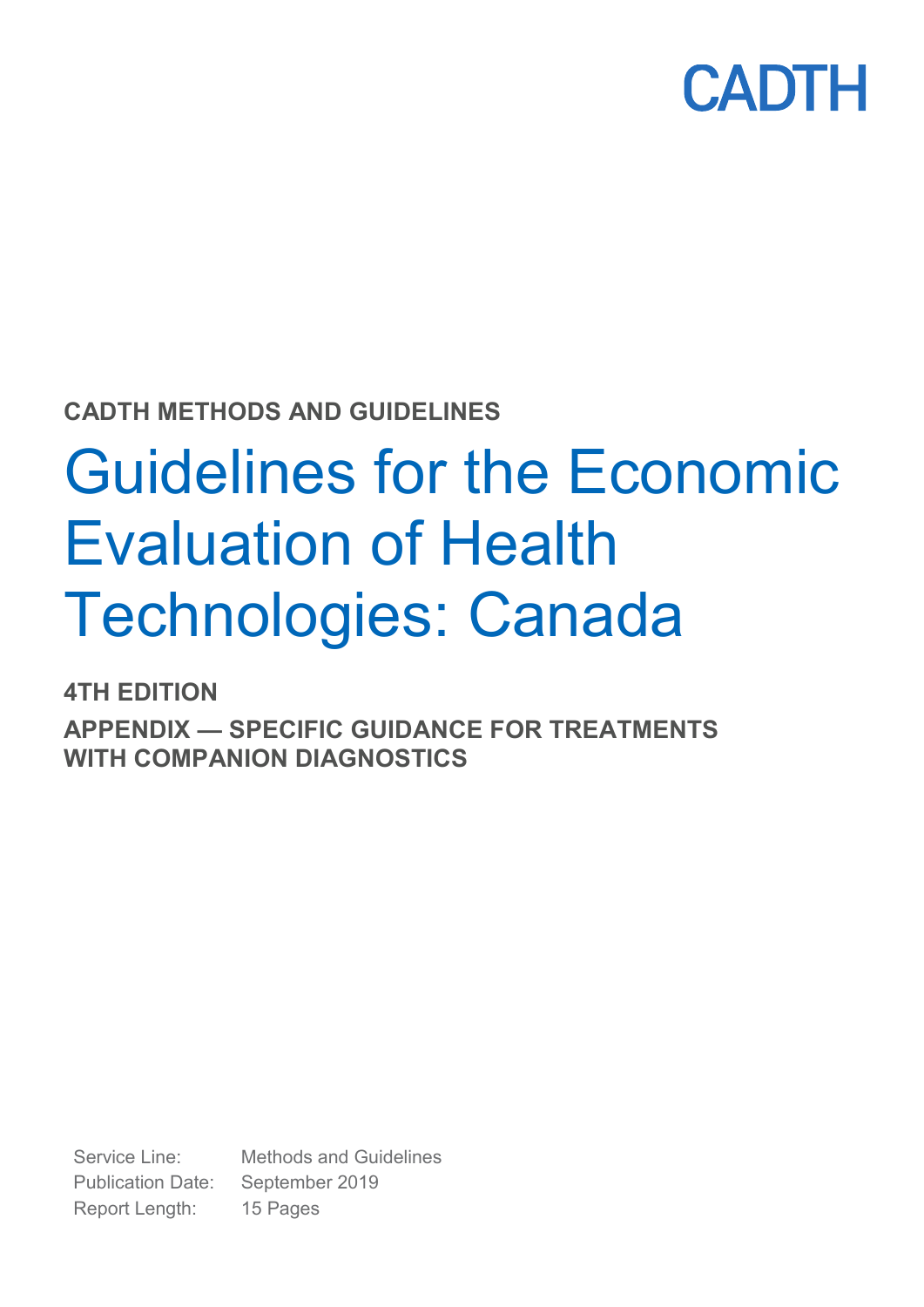

**CADTH METHODS AND GUIDELINES**

# Guidelines for the Economic Evaluation of Health Technologies: Canada

**4TH EDITION**

**APPENDIX — SPECIFIC GUIDANCE FOR TREATMENTS WITH COMPANION DIAGNOSTICS**

Service Line: Methods and Guidelines Publication Date: September 2019 Report Length: 15 Pages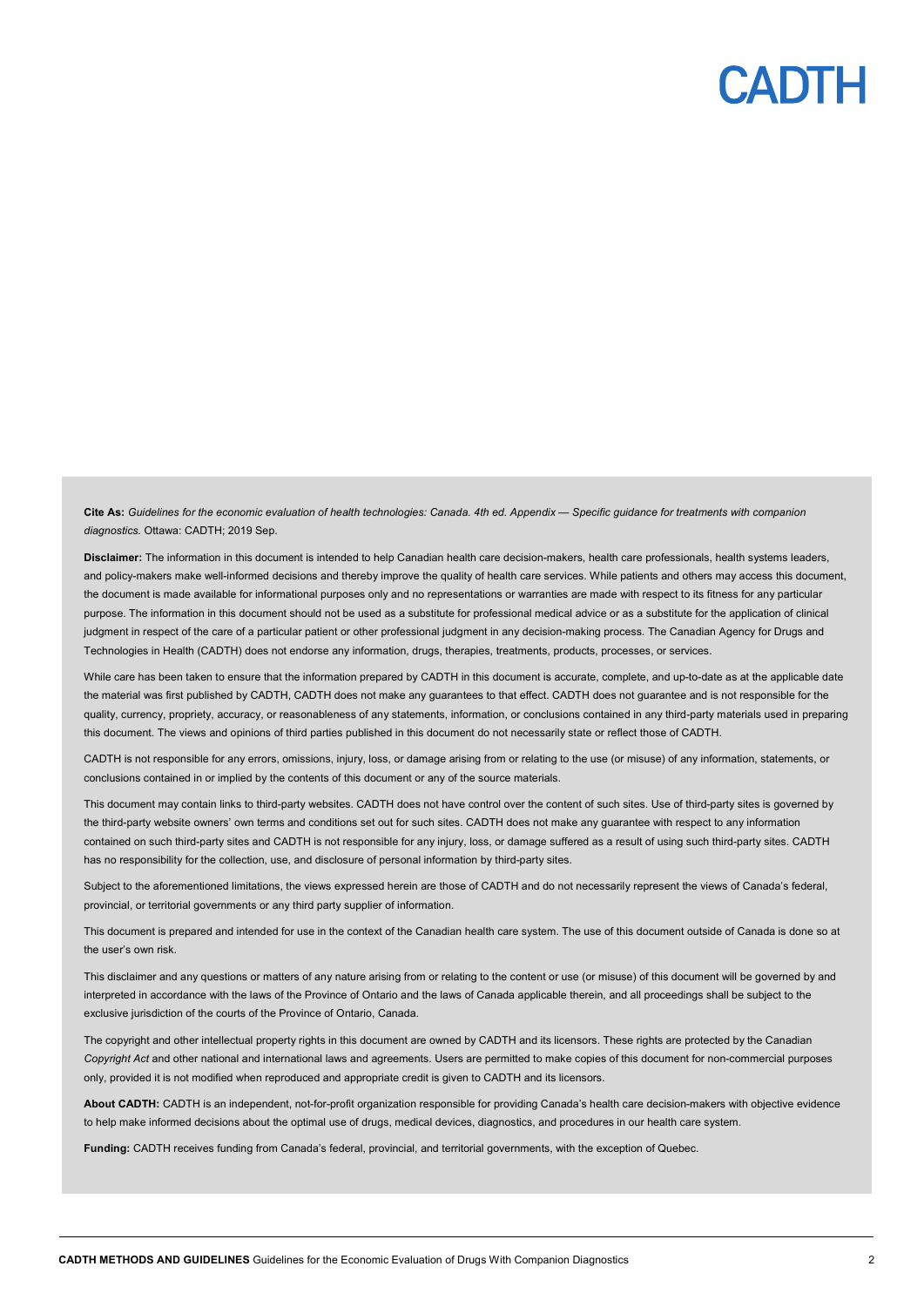

**Cite As:** *Guidelines for the economic evaluation of health technologies: Canada. 4th ed. Appendix — Specific guidance for treatments with companion diagnostics.* Ottawa: CADTH; 2019 Sep.

**Disclaimer:** The information in this document is intended to help Canadian health care decision-makers, health care professionals, health systems leaders, and policy-makers make well-informed decisions and thereby improve the quality of health care services. While patients and others may access this document, the document is made available for informational purposes only and no representations or warranties are made with respect to its fitness for any particular purpose. The information in this document should not be used as a substitute for professional medical advice or as a substitute for the application of clinical judgment in respect of the care of a particular patient or other professional judgment in any decision-making process. The Canadian Agency for Drugs and Technologies in Health (CADTH) does not endorse any information, drugs, therapies, treatments, products, processes, or services.

While care has been taken to ensure that the information prepared by CADTH in this document is accurate, complete, and up-to-date as at the applicable date the material was first published by CADTH, CADTH does not make any guarantees to that effect. CADTH does not guarantee and is not responsible for the quality, currency, propriety, accuracy, or reasonableness of any statements, information, or conclusions contained in any third-party materials used in preparing this document. The views and opinions of third parties published in this document do not necessarily state or reflect those of CADTH.

CADTH is not responsible for any errors, omissions, injury, loss, or damage arising from or relating to the use (or misuse) of any information, statements, or conclusions contained in or implied by the contents of this document or any of the source materials.

This document may contain links to third-party websites. CADTH does not have control over the content of such sites. Use of third-party sites is governed by the third-party website owners' own terms and conditions set out for such sites. CADTH does not make any guarantee with respect to any information contained on such third-party sites and CADTH is not responsible for any injury, loss, or damage suffered as a result of using such third-party sites. CADTH has no responsibility for the collection, use, and disclosure of personal information by third-party sites.

Subject to the aforementioned limitations, the views expressed herein are those of CADTH and do not necessarily represent the views of Canada's federal, provincial, or territorial governments or any third party supplier of information.

This document is prepared and intended for use in the context of the Canadian health care system. The use of this document outside of Canada is done so at the user's own risk.

This disclaimer and any questions or matters of any nature arising from or relating to the content or use (or misuse) of this document will be governed by and interpreted in accordance with the laws of the Province of Ontario and the laws of Canada applicable therein, and all proceedings shall be subject to the exclusive jurisdiction of the courts of the Province of Ontario, Canada.

The copyright and other intellectual property rights in this document are owned by CADTH and its licensors. These rights are protected by the Canadian *Copyright Act* and other national and international laws and agreements. Users are permitted to make copies of this document for non-commercial purposes only, provided it is not modified when reproduced and appropriate credit is given to CADTH and its licensors.

**About CADTH:** CADTH is an independent, not-for-profit organization responsible for providing Canada's health care decision-makers with objective evidence to help make informed decisions about the optimal use of drugs, medical devices, diagnostics, and procedures in our health care system.

**Funding:** CADTH receives funding from Canada's federal, provincial, and territorial governments, with the exception of Quebec.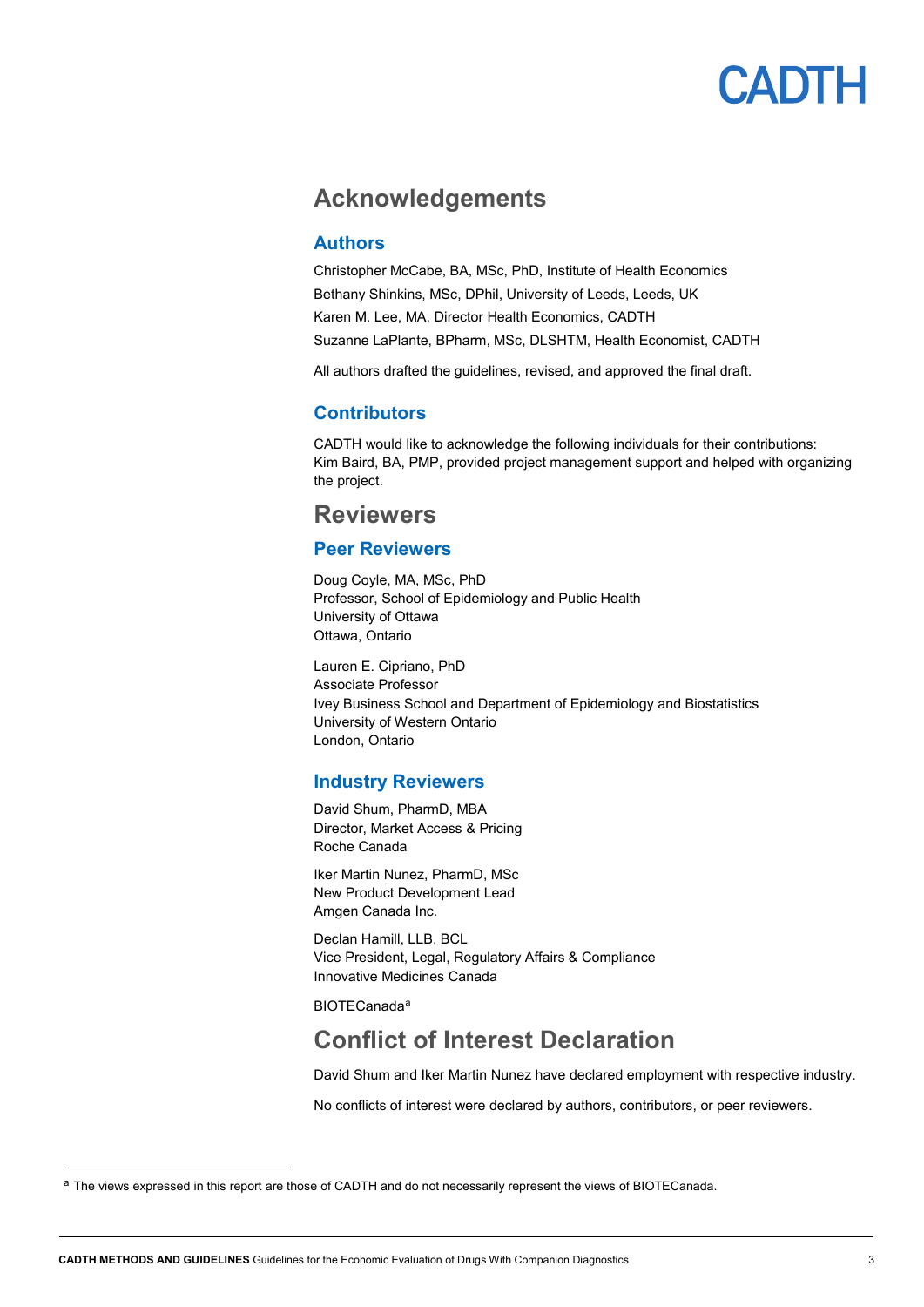

### <span id="page-2-1"></span>**Acknowledgements**

### <span id="page-2-2"></span>**Authors**

Christopher McCabe, BA, MSc, PhD, Institute of Health Economics Bethany Shinkins, MSc, DPhil, University of Leeds, Leeds, UK Karen M. Lee, MA, Director Health Economics, CADTH Suzanne LaPlante, BPharm, MSc, DLSHTM, Health Economist, CADTH

<span id="page-2-3"></span>All authors drafted the guidelines, revised, and approved the final draft.

### **Contributors**

CADTH would like to acknowledge the following individuals for their contributions: Kim Baird, BA, PMP, provided project management support and helped with organizing the project.

### <span id="page-2-4"></span>**Reviewers**

### <span id="page-2-5"></span>**Peer Reviewers**

Doug Coyle, MA, MSc, PhD Professor, School of Epidemiology and Public Health University of Ottawa Ottawa, Ontario

Lauren E. Cipriano, PhD Associate Professor Ivey Business School and Department of Epidemiology and Biostatistics University of Western Ontario London, Ontario

#### <span id="page-2-6"></span>**Industry Reviewers**

David Shum, PharmD, MBA Director, Market Access & Pricing Roche Canada

Iker Martin Nunez, PharmD, MSc New Product Development Lead Amgen Canada Inc.

Declan Hamill, LLB, BCL Vice President, Legal, Regulatory Affairs & Compliance Innovative Medicines Canada

BIOTECanada[a](#page-2-0)

### **Conflict of Interest Declaration**

David Shum and Iker Martin Nunez have declared employment with respective industry.

No conflicts of interest were declared by authors, contributors, or peer reviewers.

<span id="page-2-7"></span><span id="page-2-0"></span><sup>&</sup>lt;sup>a</sup> The views expressed in this report are those of CADTH and do not necessarily represent the views of BIOTECanada.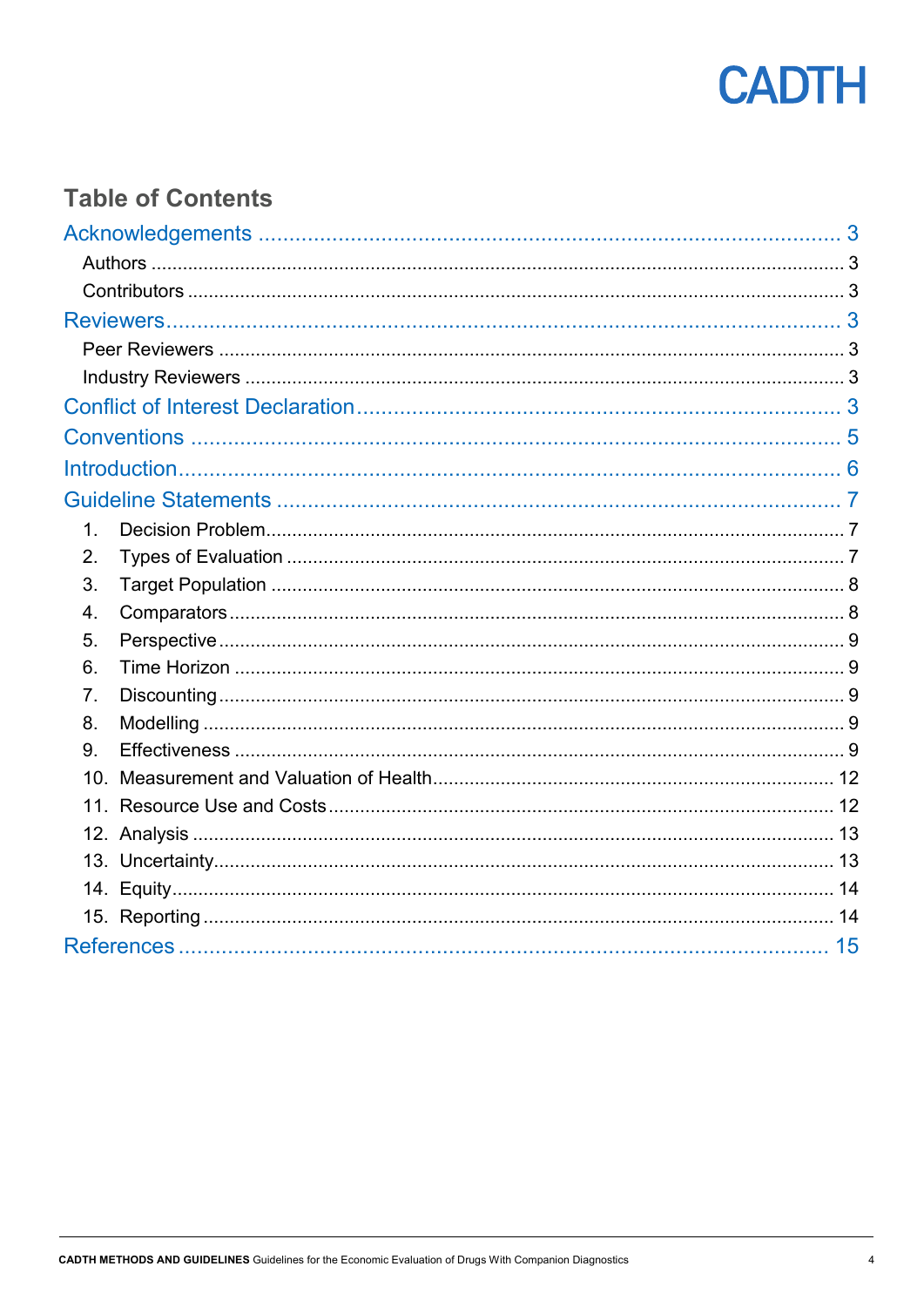

## **Table of Contents**

| $\mathbf 1$ . |  |  |  |
|---------------|--|--|--|
| 2.            |  |  |  |
| 3.            |  |  |  |
| 4.            |  |  |  |
| 5.            |  |  |  |
| 6.            |  |  |  |
| 7.            |  |  |  |
| 8.            |  |  |  |
| 9.            |  |  |  |
|               |  |  |  |
|               |  |  |  |
|               |  |  |  |
|               |  |  |  |
|               |  |  |  |
|               |  |  |  |
|               |  |  |  |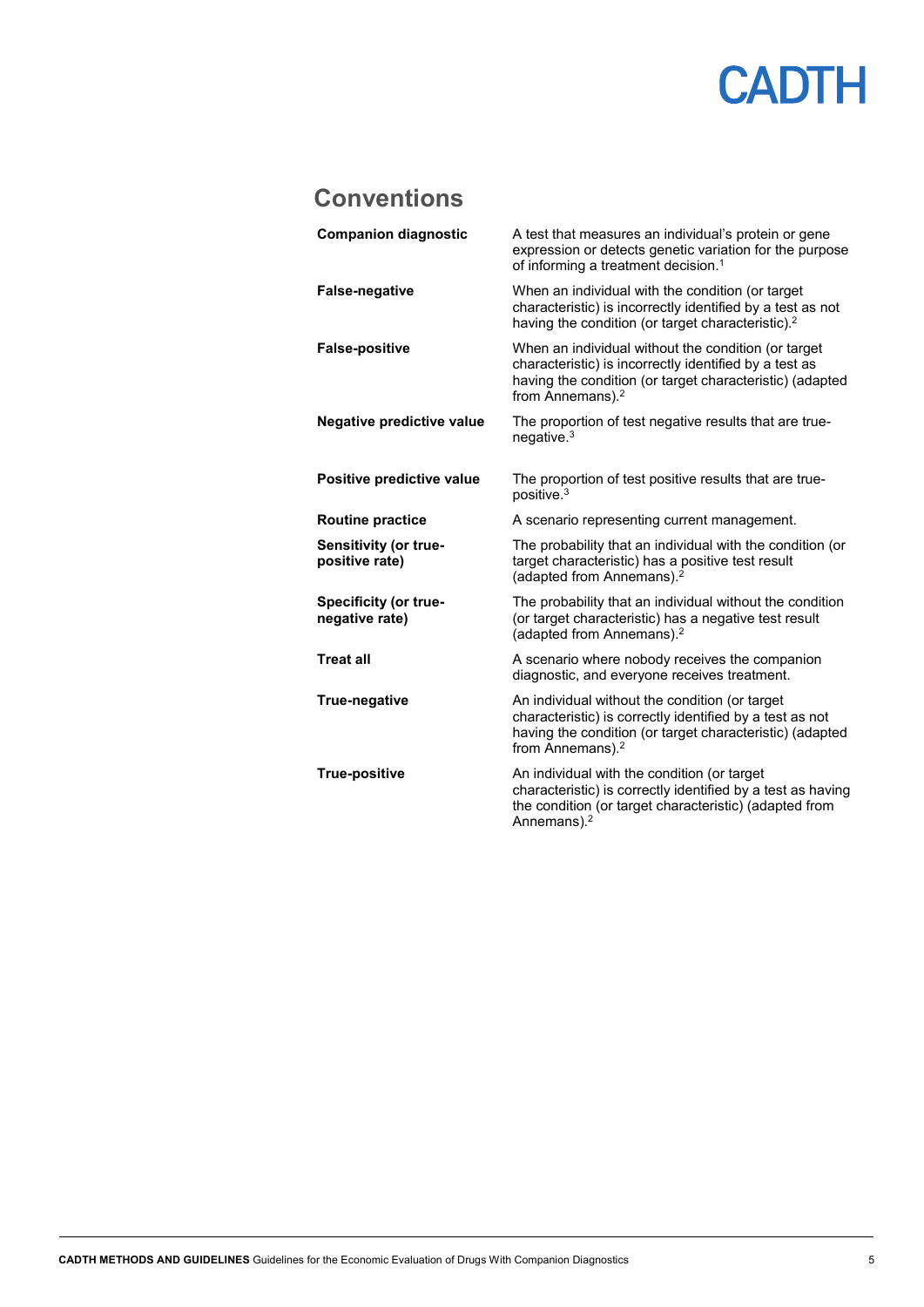### <span id="page-4-0"></span>**Conventions**

| <b>Companion diagnostic</b>                    | A test that measures an individual's protein or gene<br>expression or detects genetic variation for the purpose<br>of informing a treatment decision. <sup>1</sup>                                        |
|------------------------------------------------|-----------------------------------------------------------------------------------------------------------------------------------------------------------------------------------------------------------|
| <b>False-negative</b>                          | When an individual with the condition (or target<br>characteristic) is incorrectly identified by a test as not<br>having the condition (or target characteristic). <sup>2</sup>                           |
| <b>False-positive</b>                          | When an individual without the condition (or target<br>characteristic) is incorrectly identified by a test as<br>having the condition (or target characteristic) (adapted<br>from Annemans). <sup>2</sup> |
| <b>Negative predictive value</b>               | The proportion of test negative results that are true-<br>negative. $3$                                                                                                                                   |
| Positive predictive value                      | The proportion of test positive results that are true-<br>positive. <sup>3</sup>                                                                                                                          |
| <b>Routine practice</b>                        | A scenario representing current management.                                                                                                                                                               |
| Sensitivity (or true-<br>positive rate)        | The probability that an individual with the condition (or<br>target characteristic) has a positive test result<br>(adapted from Annemans). <sup>2</sup>                                                   |
| <b>Specificity (or true-</b><br>negative rate) | The probability that an individual without the condition<br>(or target characteristic) has a negative test result<br>(adapted from Annemans). <sup>2</sup>                                                |
| <b>Treat all</b>                               | A scenario where nobody receives the companion<br>diagnostic, and everyone receives treatment.                                                                                                            |
| True-negative                                  | An individual without the condition (or target<br>characteristic) is correctly identified by a test as not<br>having the condition (or target characteristic) (adapted<br>from Annemans). <sup>2</sup>    |
| <b>True-positive</b>                           | An individual with the condition (or target<br>characteristic) is correctly identified by a test as having<br>the condition (or target characteristic) (adapted from<br>Annemans). <sup>2</sup>           |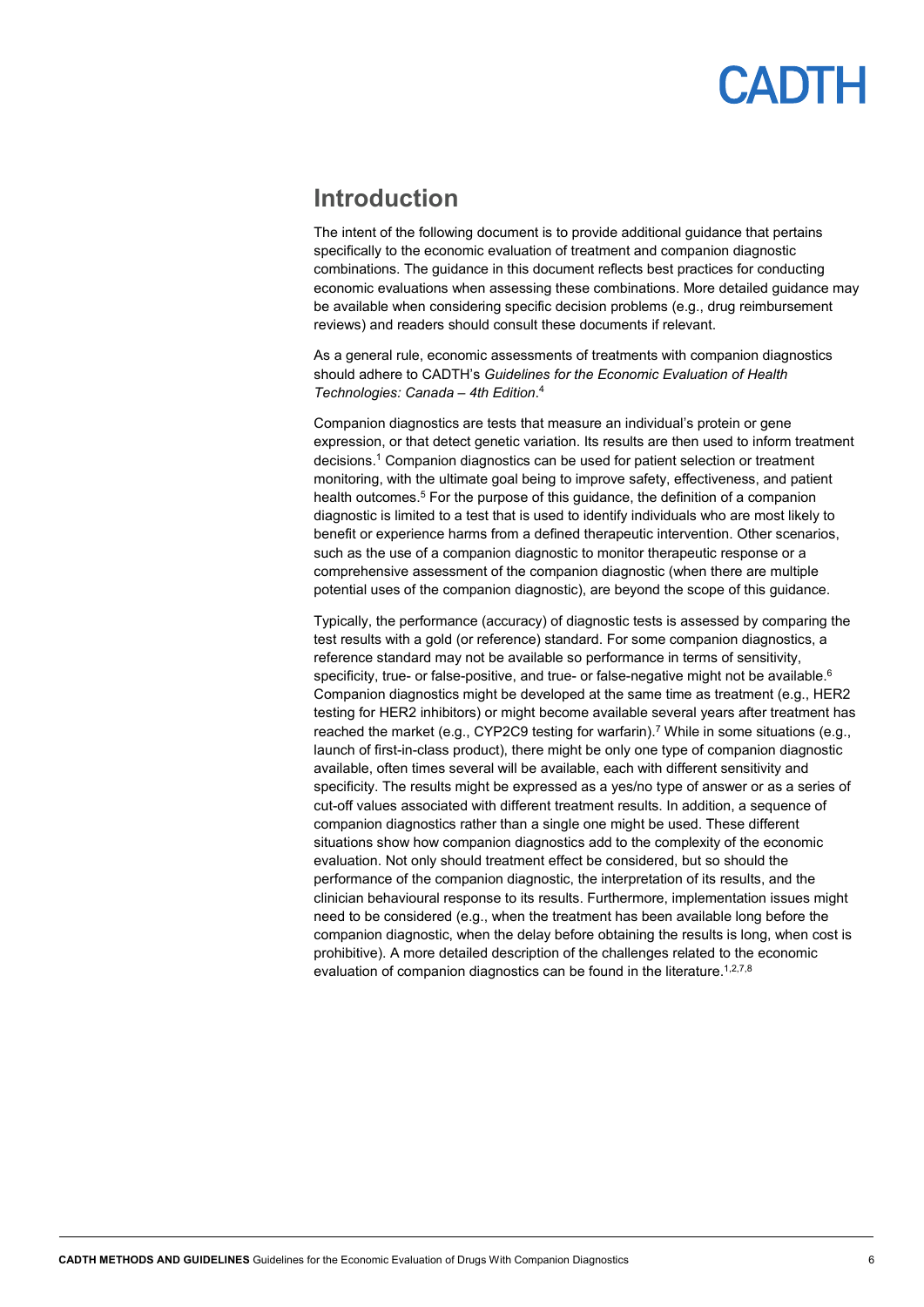### <span id="page-5-0"></span>**Introduction**

The intent of the following document is to provide additional guidance that pertains specifically to the economic evaluation of treatment and companion diagnostic combinations. The guidance in this document reflects best practices for conducting economic evaluations when assessing these combinations. More detailed guidance may be available when considering specific decision problems (e.g., drug reimbursement reviews) and readers should consult these documents if relevant.

As a general rule, economic assessments of treatments with companion diagnostics should adhere to CADTH's *Guidelines for the Economic Evaluation of Health Technologies: Canada – 4th Edition*. 4

Companion diagnostics are tests that measure an individual's protein or gene expression, or that detect genetic variation. Its results are then used to inform treatment decisions. <sup>1</sup> Companion diagnostics can be used for patient selection or treatment monitoring, with the ultimate goal being to improve safety, effectiveness, and patient health outcomes.<sup>5</sup> For the purpose of this guidance, the definition of a companion diagnostic is limited to a test that is used to identify individuals who are most likely to benefit or experience harms from a defined therapeutic intervention. Other scenarios, such as the use of a companion diagnostic to monitor therapeutic response or a comprehensive assessment of the companion diagnostic (when there are multiple potential uses of the companion diagnostic), are beyond the scope of this guidance.

Typically, the performance (accuracy) of diagnostic tests is assessed by comparing the test results with a gold (or reference) standard. For some companion diagnostics, a reference standard may not be available so performance in terms of sensitivity, specificity, true- or false-positive, and true- or false-negative might not be available.<sup>6</sup> Companion diagnostics might be developed at the same time as treatment (e.g., HER2 testing for HER2 inhibitors) or might become available several years after treatment has reached the market (e.g., CYP2C9 testing for warfarin).<sup>7</sup> While in some situations (e.g., launch of first-in-class product), there might be only one type of companion diagnostic available, often times several will be available, each with different sensitivity and specificity. The results might be expressed as a yes/no type of answer or as a series of cut-off values associated with different treatment results. In addition, a sequence of companion diagnostics rather than a single one might be used. These different situations show how companion diagnostics add to the complexity of the economic evaluation. Not only should treatment effect be considered, but so should the performance of the companion diagnostic, the interpretation of its results, and the clinician behavioural response to its results. Furthermore, implementation issues might need to be considered (e.g., when the treatment has been available long before the companion diagnostic, when the delay before obtaining the results is long, when cost is prohibitive). A more detailed description of the challenges related to the economic evaluation of companion diagnostics can be found in the literature.<sup>1,2,7,8</sup>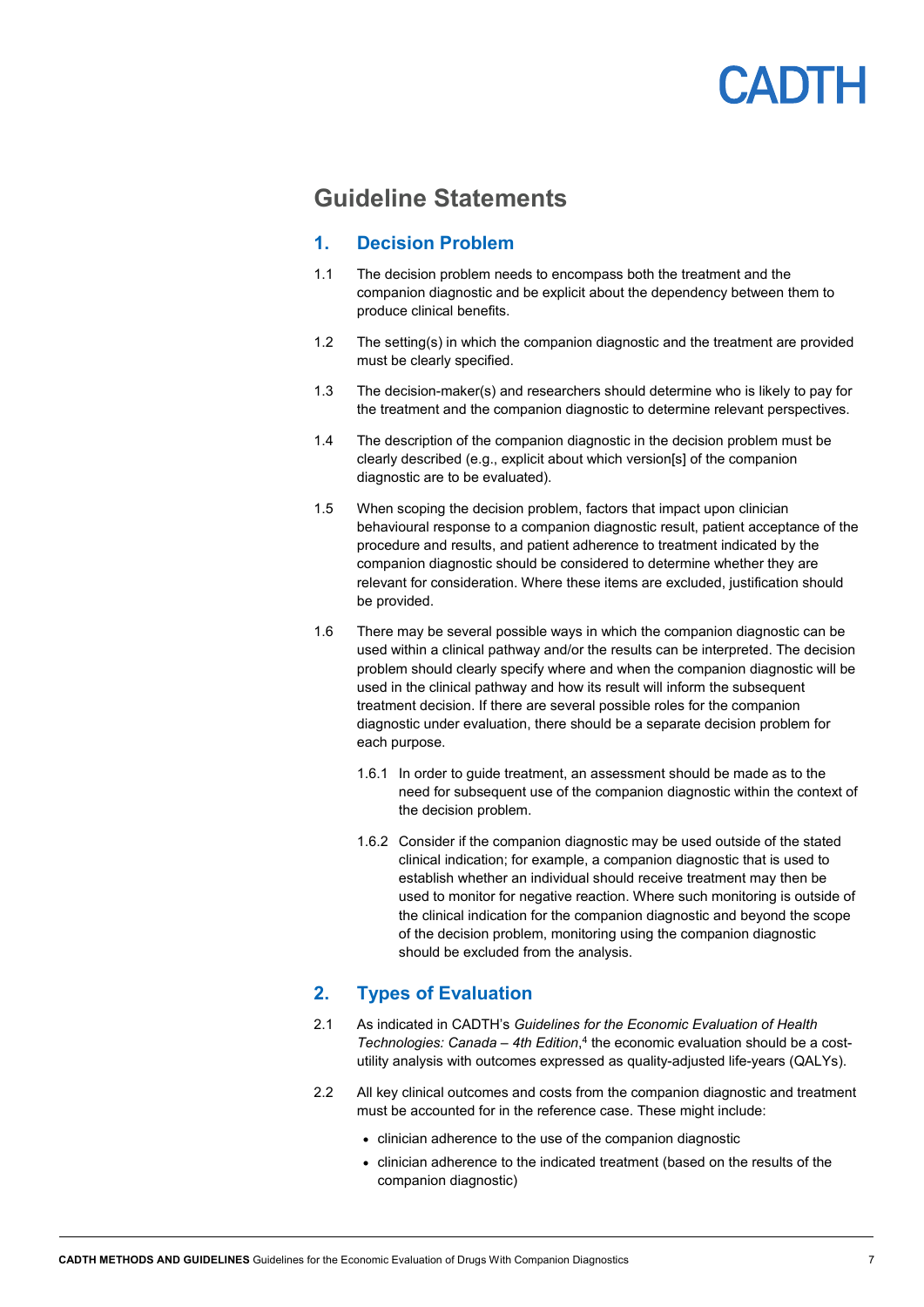

### <span id="page-6-0"></span>**Guideline Statements**

### <span id="page-6-1"></span>**1. Decision Problem**

- 1.1 The decision problem needs to encompass both the treatment and the companion diagnostic and be explicit about the dependency between them to produce clinical benefits.
- 1.2 The setting(s) in which the companion diagnostic and the treatment are provided must be clearly specified.
- 1.3 The decision-maker(s) and researchers should determine who is likely to pay for the treatment and the companion diagnostic to determine relevant perspectives.
- 1.4 The description of the companion diagnostic in the decision problem must be clearly described (e.g., explicit about which version[s] of the companion diagnostic are to be evaluated).
- 1.5 When scoping the decision problem, factors that impact upon clinician behavioural response to a companion diagnostic result, patient acceptance of the procedure and results, and patient adherence to treatment indicated by the companion diagnostic should be considered to determine whether they are relevant for consideration. Where these items are excluded, justification should be provided.
- 1.6 There may be several possible ways in which the companion diagnostic can be used within a clinical pathway and/or the results can be interpreted. The decision problem should clearly specify where and when the companion diagnostic will be used in the clinical pathway and how its result will inform the subsequent treatment decision. If there are several possible roles for the companion diagnostic under evaluation, there should be a separate decision problem for each purpose.
	- 1.6.1 In order to guide treatment, an assessment should be made as to the need for subsequent use of the companion diagnostic within the context of the decision problem.
	- 1.6.2 Consider if the companion diagnostic may be used outside of the stated clinical indication; for example, a companion diagnostic that is used to establish whether an individual should receive treatment may then be used to monitor for negative reaction. Where such monitoring is outside of the clinical indication for the companion diagnostic and beyond the scope of the decision problem, monitoring using the companion diagnostic should be excluded from the analysis.

### <span id="page-6-2"></span>**2. Types of Evaluation**

- 2.1 As indicated in CADTH's *Guidelines for the Economic Evaluation of Health Technologies: Canada – 4th Edition*, <sup>4</sup> the economic evaluation should be a costutility analysis with outcomes expressed as quality-adjusted life-years (QALYs).
- 2.2 All key clinical outcomes and costs from the companion diagnostic and treatment must be accounted for in the reference case. These might include:
	- clinician adherence to the use of the companion diagnostic
	- clinician adherence to the indicated treatment (based on the results of the companion diagnostic)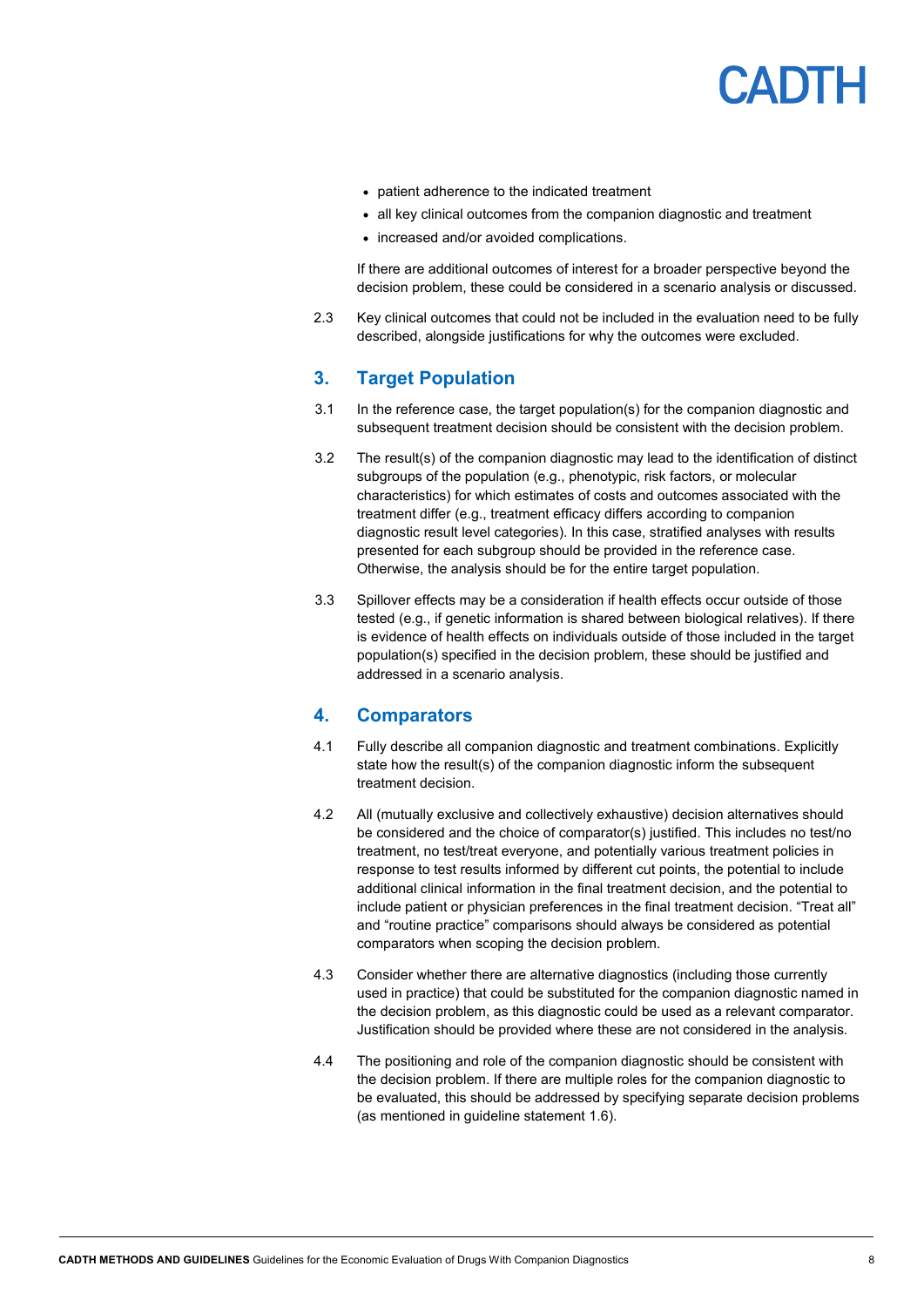- patient adherence to the indicated treatment
- all key clinical outcomes from the companion diagnostic and treatment
- increased and/or avoided complications.

If there are additional outcomes of interest for a broader perspective beyond the decision problem, these could be considered in a scenario analysis or discussed.

2.3 Key clinical outcomes that could not be included in the evaluation need to be fully described, alongside justifications for why the outcomes were excluded.

### <span id="page-7-0"></span>**3. Target Population**

- 3.1 In the reference case, the target population(s) for the companion diagnostic and subsequent treatment decision should be consistent with the decision problem.
- 3.2 The result(s) of the companion diagnostic may lead to the identification of distinct subgroups of the population (e.g., phenotypic, risk factors, or molecular characteristics) for which estimates of costs and outcomes associated with the treatment differ (e.g., treatment efficacy differs according to companion diagnostic result level categories). In this case, stratified analyses with results presented for each subgroup should be provided in the reference case. Otherwise, the analysis should be for the entire target population.
- 3.3 Spillover effects may be a consideration if health effects occur outside of those tested (e.g., if genetic information is shared between biological relatives). If there is evidence of health effects on individuals outside of those included in the target population(s) specified in the decision problem, these should be justified and addressed in a scenario analysis.

#### <span id="page-7-1"></span>**4. Comparators**

- 4.1 Fully describe all companion diagnostic and treatment combinations. Explicitly state how the result(s) of the companion diagnostic inform the subsequent treatment decision.
- 4.2 All (mutually exclusive and collectively exhaustive) decision alternatives should be considered and the choice of comparator(s) justified. This includes no test/no treatment, no test/treat everyone, and potentially various treatment policies in response to test results informed by different cut points, the potential to include additional clinical information in the final treatment decision, and the potential to include patient or physician preferences in the final treatment decision. "Treat all" and "routine practice" comparisons should always be considered as potential comparators when scoping the decision problem.
- 4.3 Consider whether there are alternative diagnostics (including those currently used in practice) that could be substituted for the companion diagnostic named in the decision problem, as this diagnostic could be used as a relevant comparator. Justification should be provided where these are not considered in the analysis.
- 4.4 The positioning and role of the companion diagnostic should be consistent with the decision problem. If there are multiple roles for the companion diagnostic to be evaluated, this should be addressed by specifying separate decision problems (as mentioned in guideline statement 1.6).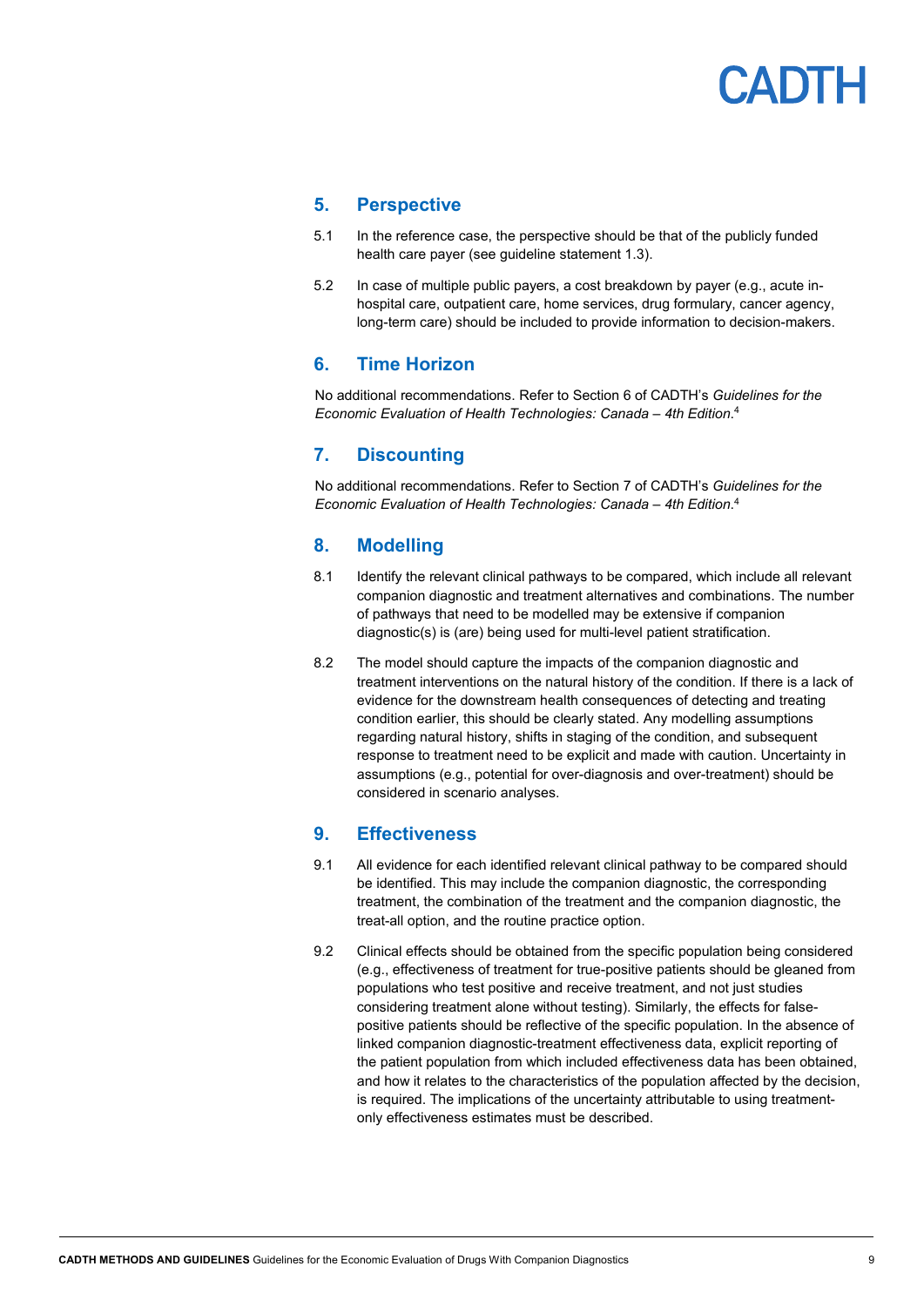### <span id="page-8-0"></span>**5. Perspective**

- 5.1 In the reference case, the perspective should be that of the publicly funded health care payer (see guideline statement 1.3).
- 5.2 In case of multiple public payers, a cost breakdown by payer (e.g., acute inhospital care, outpatient care, home services, drug formulary, cancer agency, long-term care) should be included to provide information to decision-makers.

### <span id="page-8-1"></span>**6. Time Horizon**

No additional recommendations. Refer to Section 6 of CADTH's *Guidelines for the Economic Evaluation of Health Technologies: Canada – 4th Edition*. 4

### <span id="page-8-2"></span>**7. Discounting**

No additional recommendations. Refer to Section 7 of CADTH's *Guidelines for the Economic Evaluation of Health Technologies: Canada – 4th Edition*. 4

### <span id="page-8-3"></span>**8. Modelling**

- 8.1 Identify the relevant clinical pathways to be compared, which include all relevant companion diagnostic and treatment alternatives and combinations. The number of pathways that need to be modelled may be extensive if companion diagnostic(s) is (are) being used for multi-level patient stratification.
- 8.2 The model should capture the impacts of the companion diagnostic and treatment interventions on the natural history of the condition. If there is a lack of evidence for the downstream health consequences of detecting and treating condition earlier, this should be clearly stated. Any modelling assumptions regarding natural history, shifts in staging of the condition, and subsequent response to treatment need to be explicit and made with caution. Uncertainty in assumptions (e.g., potential for over-diagnosis and over-treatment) should be considered in scenario analyses.

### <span id="page-8-4"></span>**9. Effectiveness**

- 9.1 All evidence for each identified relevant clinical pathway to be compared should be identified. This may include the companion diagnostic, the corresponding treatment, the combination of the treatment and the companion diagnostic, the treat-all option, and the routine practice option.
- 9.2 Clinical effects should be obtained from the specific population being considered (e.g., effectiveness of treatment for true-positive patients should be gleaned from populations who test positive and receive treatment, and not just studies considering treatment alone without testing). Similarly, the effects for falsepositive patients should be reflective of the specific population. In the absence of linked companion diagnostic-treatment effectiveness data, explicit reporting of the patient population from which included effectiveness data has been obtained, and how it relates to the characteristics of the population affected by the decision, is required. The implications of the uncertainty attributable to using treatmentonly effectiveness estimates must be described.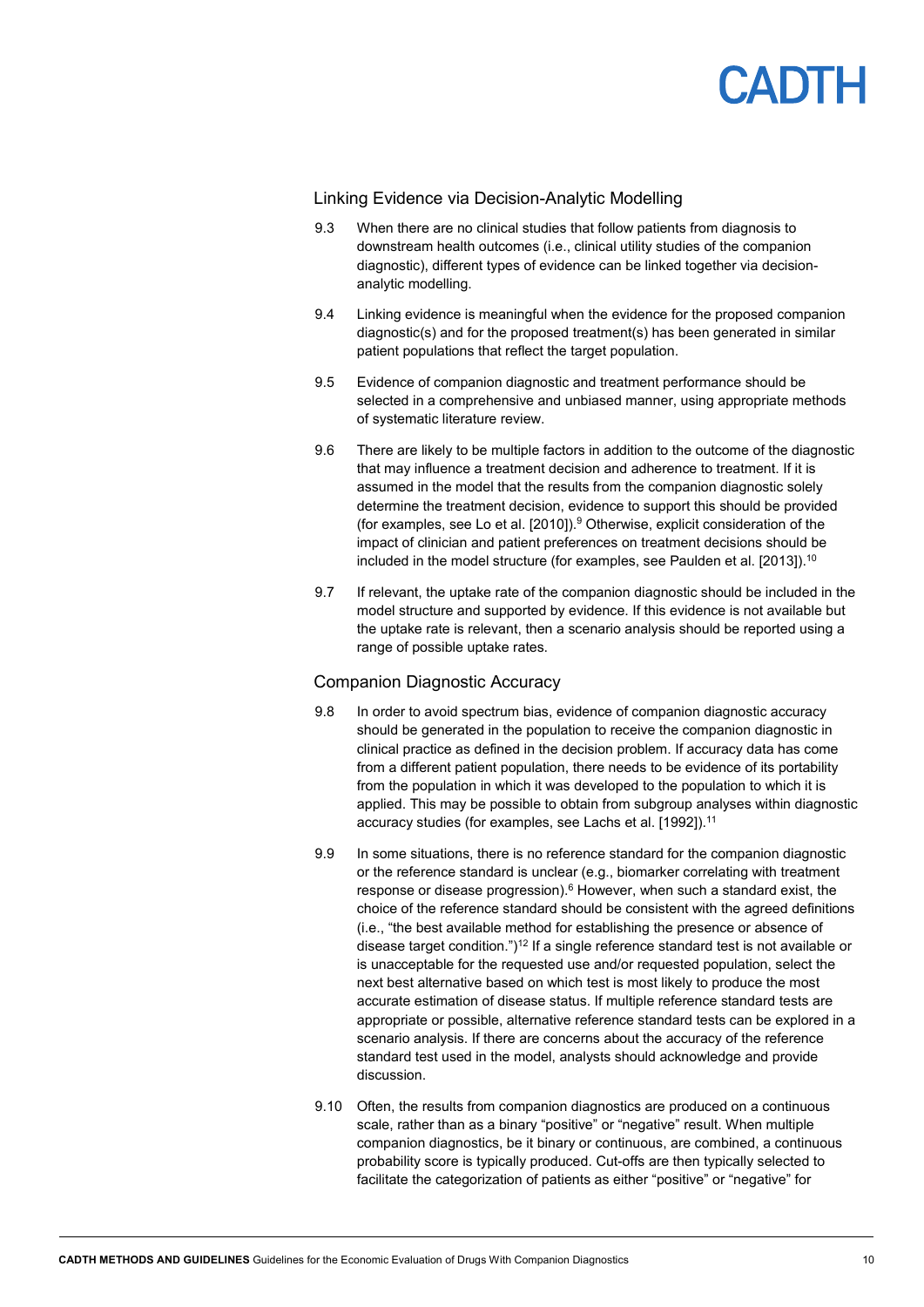

#### Linking Evidence via Decision-Analytic Modelling

- 9.3 When there are no clinical studies that follow patients from diagnosis to downstream health outcomes (i.e., clinical utility studies of the companion diagnostic), different types of evidence can be linked together via decisionanalytic modelling.
- 9.4 Linking evidence is meaningful when the evidence for the proposed companion diagnostic(s) and for the proposed treatment(s) has been generated in similar patient populations that reflect the target population.
- 9.5 Evidence of companion diagnostic and treatment performance should be selected in a comprehensive and unbiased manner, using appropriate methods of systematic literature review.
- 9.6 There are likely to be multiple factors in addition to the outcome of the diagnostic that may influence a treatment decision and adherence to treatment. If it is assumed in the model that the results from the companion diagnostic solely determine the treatment decision, evidence to support this should be provided (for examples, see Lo et al. [2010]). <sup>9</sup> Otherwise, explicit consideration of the impact of clinician and patient preferences on treatment decisions should be included in the model structure (for examples, see Paulden et al. [2013]).<sup>10</sup>
- 9.7 If relevant, the uptake rate of the companion diagnostic should be included in the model structure and supported by evidence. If this evidence is not available but the uptake rate is relevant, then a scenario analysis should be reported using a range of possible uptake rates.

#### Companion Diagnostic Accuracy

- 9.8 In order to avoid spectrum bias, evidence of companion diagnostic accuracy should be generated in the population to receive the companion diagnostic in clinical practice as defined in the decision problem. If accuracy data has come from a different patient population, there needs to be evidence of its portability from the population in which it was developed to the population to which it is applied. This may be possible to obtain from subgroup analyses within diagnostic accuracy studies (for examples, see Lachs et al. [1992]).<sup>11</sup>
- 9.9 In some situations, there is no reference standard for the companion diagnostic or the reference standard is unclear (e.g., biomarker correlating with treatment response or disease progression).<sup>6</sup> However, when such a standard exist, the choice of the reference standard should be consistent with the agreed definitions (i.e., "the best available method for establishing the presence or absence of disease target condition.")<sup>12</sup> If a single reference standard test is not available or is unacceptable for the requested use and/or requested population, select the next best alternative based on which test is most likely to produce the most accurate estimation of disease status. If multiple reference standard tests are appropriate or possible, alternative reference standard tests can be explored in a scenario analysis. If there are concerns about the accuracy of the reference standard test used in the model, analysts should acknowledge and provide discussion.
- 9.10 Often, the results from companion diagnostics are produced on a continuous scale, rather than as a binary "positive" or "negative" result. When multiple companion diagnostics, be it binary or continuous, are combined, a continuous probability score is typically produced. Cut-offs are then typically selected to facilitate the categorization of patients as either "positive" or "negative" for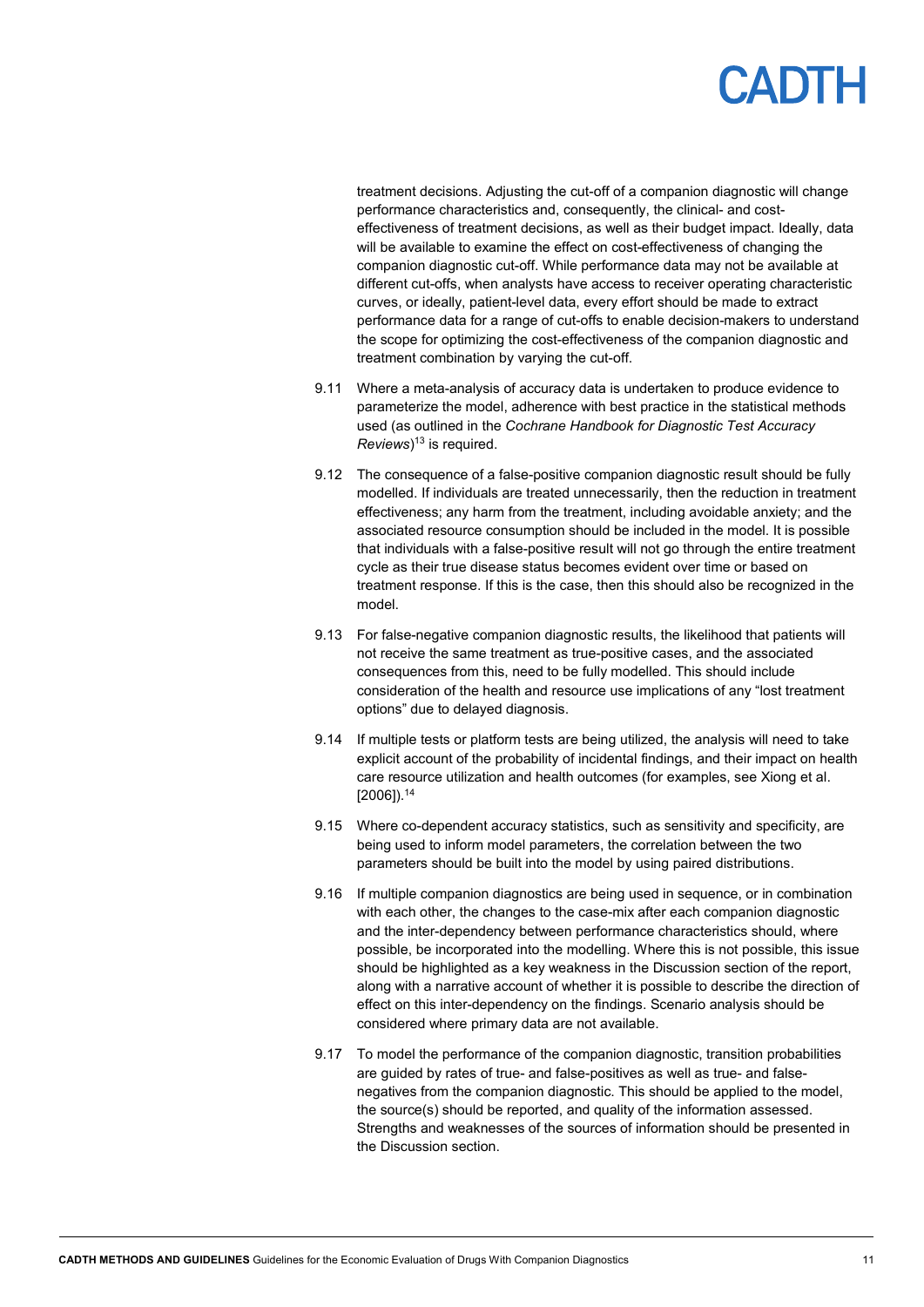

treatment decisions. Adjusting the cut-off of a companion diagnostic will change performance characteristics and, consequently, the clinical- and costeffectiveness of treatment decisions, as well as their budget impact. Ideally, data will be available to examine the effect on cost-effectiveness of changing the companion diagnostic cut-off. While performance data may not be available at different cut-offs, when analysts have access to receiver operating characteristic curves, or ideally, patient-level data, every effort should be made to extract performance data for a range of cut-offs to enable decision-makers to understand the scope for optimizing the cost-effectiveness of the companion diagnostic and treatment combination by varying the cut-off.

- 9.11 Where a meta-analysis of accuracy data is undertaken to produce evidence to parameterize the model, adherence with best practice in the statistical methods used (as outlined in the *Cochrane Handbook for Diagnostic Test Accuracy Reviews*) <sup>13</sup> is required.
- 9.12 The consequence of a false-positive companion diagnostic result should be fully modelled. If individuals are treated unnecessarily, then the reduction in treatment effectiveness; any harm from the treatment, including avoidable anxiety; and the associated resource consumption should be included in the model. It is possible that individuals with a false-positive result will not go through the entire treatment cycle as their true disease status becomes evident over time or based on treatment response. If this is the case, then this should also be recognized in the model.
- 9.13 For false-negative companion diagnostic results, the likelihood that patients will not receive the same treatment as true-positive cases, and the associated consequences from this, need to be fully modelled. This should include consideration of the health and resource use implications of any "lost treatment options" due to delayed diagnosis.
- 9.14 If multiple tests or platform tests are being utilized, the analysis will need to take explicit account of the probability of incidental findings, and their impact on health care resource utilization and health outcomes (for examples, see Xiong et al. [2006]).14
- 9.15 Where co-dependent accuracy statistics, such as sensitivity and specificity, are being used to inform model parameters, the correlation between the two parameters should be built into the model by using paired distributions.
- 9.16 If multiple companion diagnostics are being used in sequence, or in combination with each other, the changes to the case-mix after each companion diagnostic and the inter-dependency between performance characteristics should, where possible, be incorporated into the modelling. Where this is not possible, this issue should be highlighted as a key weakness in the Discussion section of the report, along with a narrative account of whether it is possible to describe the direction of effect on this inter-dependency on the findings. Scenario analysis should be considered where primary data are not available.
- 9.17 To model the performance of the companion diagnostic, transition probabilities are guided by rates of true- and false-positives as well as true- and falsenegatives from the companion diagnostic. This should be applied to the model, the source(s) should be reported, and quality of the information assessed. Strengths and weaknesses of the sources of information should be presented in the Discussion section.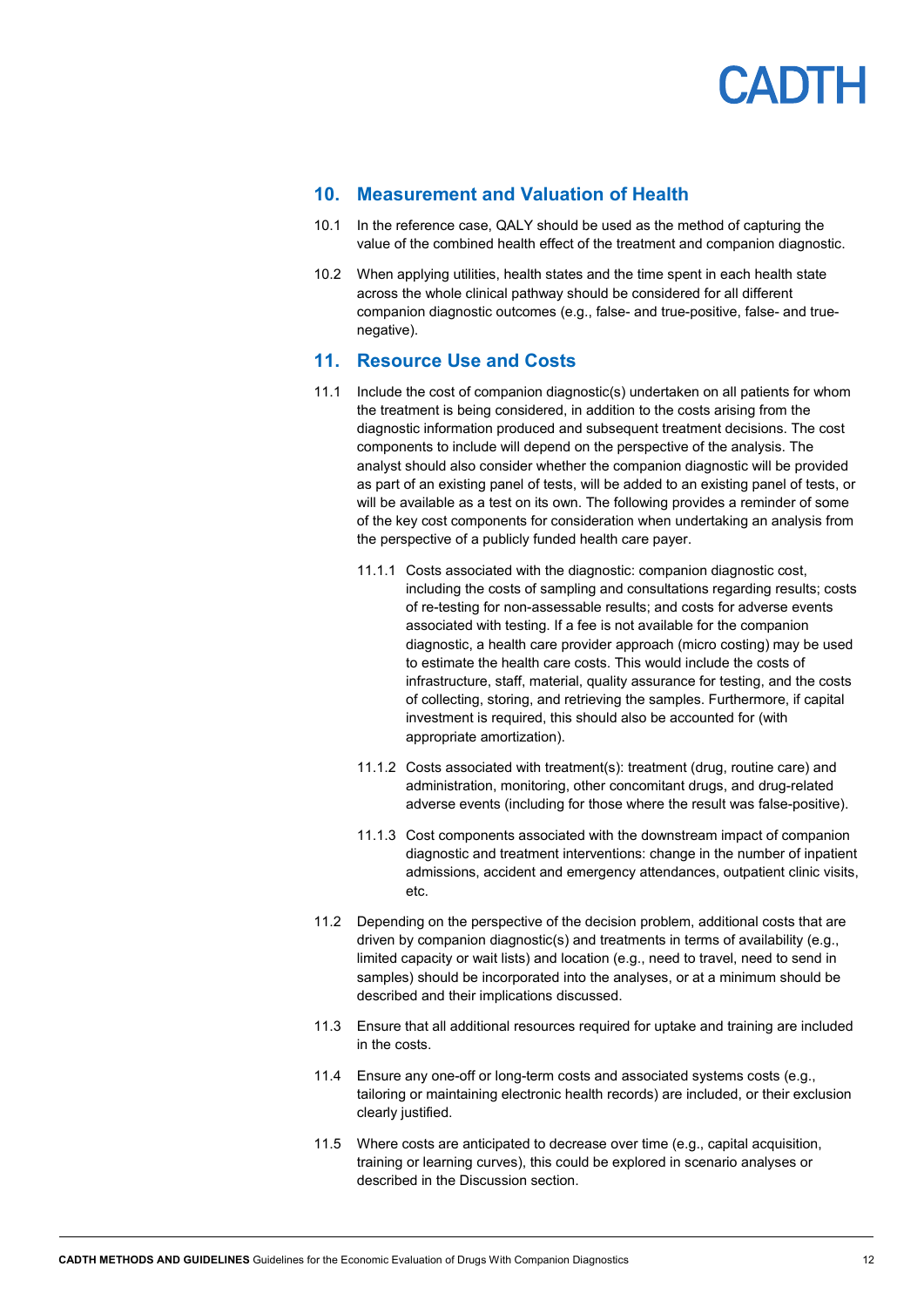

### <span id="page-11-0"></span>**10. Measurement and Valuation of Health**

- 10.1 In the reference case, QALY should be used as the method of capturing the value of the combined health effect of the treatment and companion diagnostic.
- 10.2 When applying utilities, health states and the time spent in each health state across the whole clinical pathway should be considered for all different companion diagnostic outcomes (e.g., false- and true-positive, false- and truenegative).

#### <span id="page-11-1"></span>**11. Resource Use and Costs**

- 11.1 Include the cost of companion diagnostic(s) undertaken on all patients for whom the treatment is being considered, in addition to the costs arising from the diagnostic information produced and subsequent treatment decisions. The cost components to include will depend on the perspective of the analysis. The analyst should also consider whether the companion diagnostic will be provided as part of an existing panel of tests, will be added to an existing panel of tests, or will be available as a test on its own. The following provides a reminder of some of the key cost components for consideration when undertaking an analysis from the perspective of a publicly funded health care payer.
	- 11.1.1 Costs associated with the diagnostic: companion diagnostic cost, including the costs of sampling and consultations regarding results; costs of re-testing for non-assessable results; and costs for adverse events associated with testing. If a fee is not available for the companion diagnostic, a health care provider approach (micro costing) may be used to estimate the health care costs. This would include the costs of infrastructure, staff, material, quality assurance for testing, and the costs of collecting, storing, and retrieving the samples. Furthermore, if capital investment is required, this should also be accounted for (with appropriate amortization).
	- 11.1.2 Costs associated with treatment(s): treatment (drug, routine care) and administration, monitoring, other concomitant drugs, and drug-related adverse events (including for those where the result was false-positive).
	- 11.1.3 Cost components associated with the downstream impact of companion diagnostic and treatment interventions: change in the number of inpatient admissions, accident and emergency attendances, outpatient clinic visits, etc.
- 11.2 Depending on the perspective of the decision problem, additional costs that are driven by companion diagnostic(s) and treatments in terms of availability (e.g., limited capacity or wait lists) and location (e.g., need to travel, need to send in samples) should be incorporated into the analyses, or at a minimum should be described and their implications discussed.
- 11.3 Ensure that all additional resources required for uptake and training are included in the costs.
- 11.4 Ensure any one-off or long-term costs and associated systems costs (e.g., tailoring or maintaining electronic health records) are included, or their exclusion clearly justified.
- 11.5 Where costs are anticipated to decrease over time (e.g., capital acquisition, training or learning curves), this could be explored in scenario analyses or described in the Discussion section.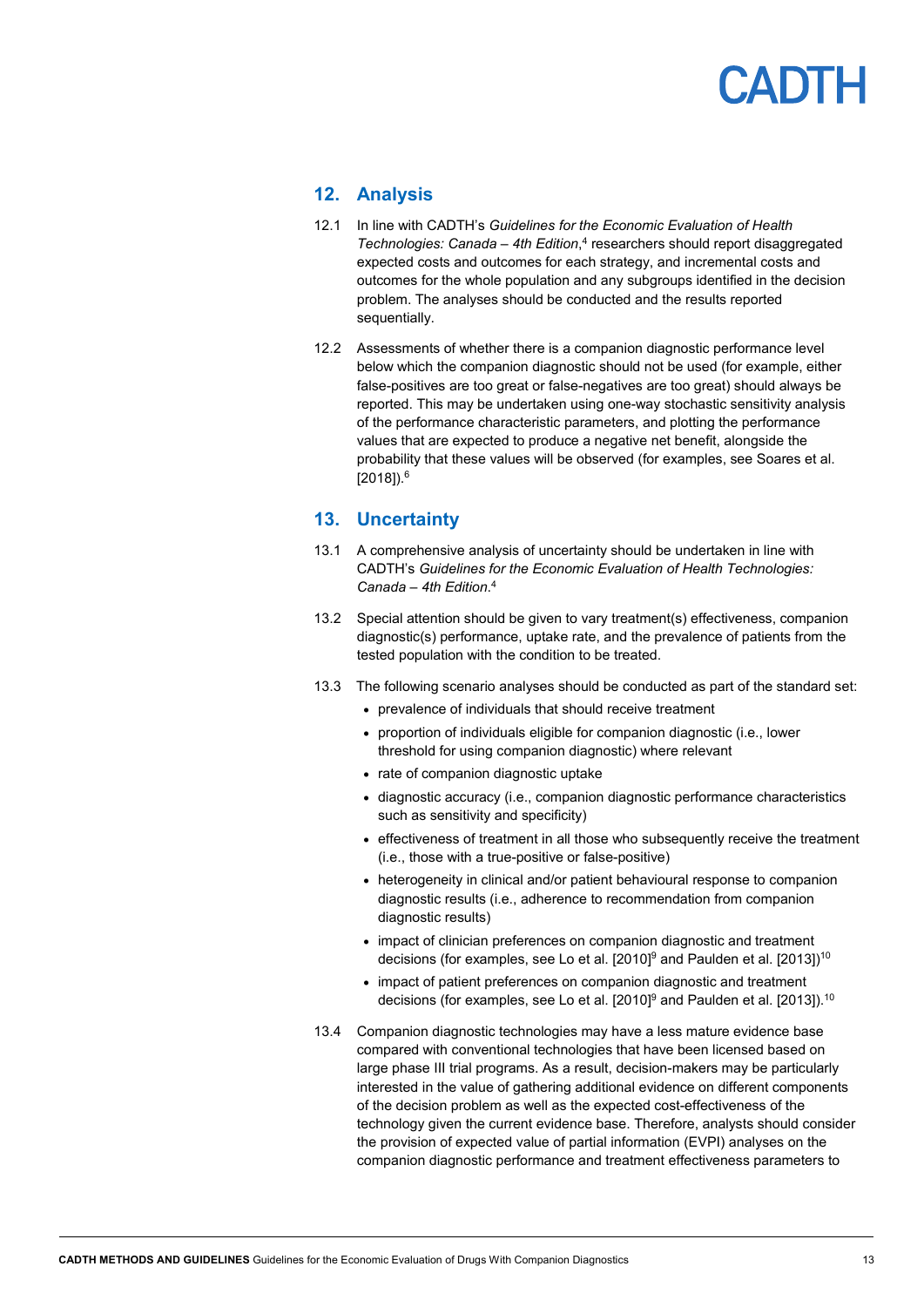# **ADTH**

### <span id="page-12-0"></span>**12. Analysis**

- 12.1 In line with CADTH's *Guidelines for the Economic Evaluation of Health Technologies: Canada – 4th Edition*, <sup>4</sup> researchers should report disaggregated expected costs and outcomes for each strategy, and incremental costs and outcomes for the whole population and any subgroups identified in the decision problem. The analyses should be conducted and the results reported sequentially.
- 12.2 Assessments of whether there is a companion diagnostic performance level below which the companion diagnostic should not be used (for example, either false-positives are too great or false-negatives are too great) should always be reported. This may be undertaken using one-way stochastic sensitivity analysis of the performance characteristic parameters, and plotting the performance values that are expected to produce a negative net benefit, alongside the probability that these values will be observed (for examples, see Soares et al. [2018]).6

### <span id="page-12-1"></span>**13. Uncertainty**

- 13.1 A comprehensive analysis of uncertainty should be undertaken in line with CADTH's *Guidelines for the Economic Evaluation of Health Technologies: Canada – 4th Edition*. 4
- 13.2 Special attention should be given to vary treatment(s) effectiveness, companion diagnostic(s) performance, uptake rate, and the prevalence of patients from the tested population with the condition to be treated.
- 13.3 The following scenario analyses should be conducted as part of the standard set:
	- prevalence of individuals that should receive treatment
	- proportion of individuals eligible for companion diagnostic (i.e., lower threshold for using companion diagnostic) where relevant
	- rate of companion diagnostic uptake
	- diagnostic accuracy (i.e., companion diagnostic performance characteristics such as sensitivity and specificity)
	- effectiveness of treatment in all those who subsequently receive the treatment (i.e., those with a true-positive or false-positive)
	- heterogeneity in clinical and/or patient behavioural response to companion diagnostic results (i.e., adherence to recommendation from companion diagnostic results)
	- impact of clinician preferences on companion diagnostic and treatment decisions (for examples, see Lo et al. [2010] $^9$  and Paulden et al. [2013]) $^{\rm 10}$
	- impact of patient preferences on companion diagnostic and treatment decisions (for examples, see Lo et al. [2010] $^9$  and Paulden et al. [2013]). $^{10}$
- 13.4 Companion diagnostic technologies may have a less mature evidence base compared with conventional technologies that have been licensed based on large phase III trial programs. As a result, decision-makers may be particularly interested in the value of gathering additional evidence on different components of the decision problem as well as the expected cost-effectiveness of the technology given the current evidence base. Therefore, analysts should consider the provision of expected value of partial information (EVPI) analyses on the companion diagnostic performance and treatment effectiveness parameters to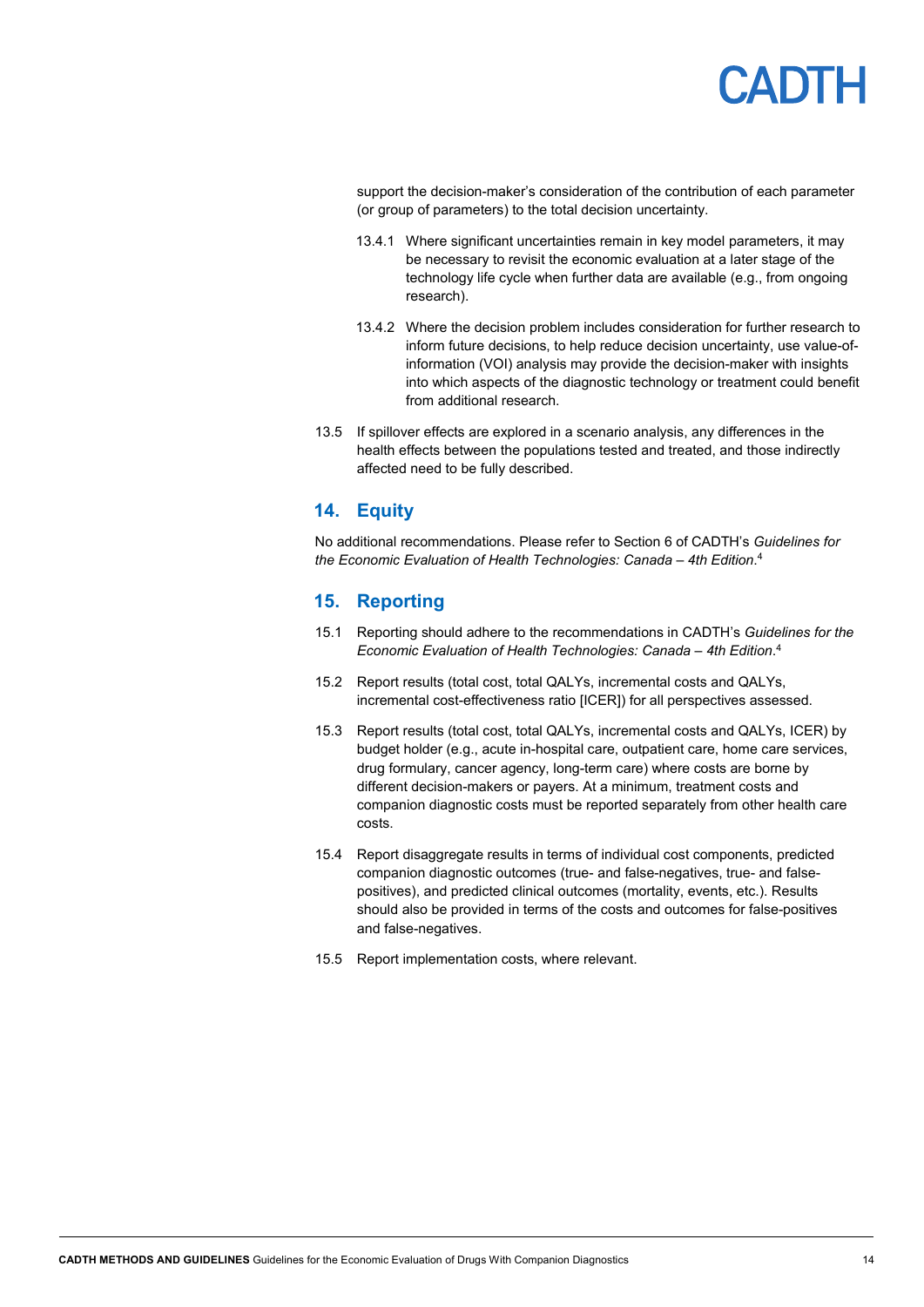

support the decision-maker's consideration of the contribution of each parameter (or group of parameters) to the total decision uncertainty.

- 13.4.1 Where significant uncertainties remain in key model parameters, it may be necessary to revisit the economic evaluation at a later stage of the technology life cycle when further data are available (e.g., from ongoing research).
- 13.4.2 Where the decision problem includes consideration for further research to inform future decisions, to help reduce decision uncertainty, use value-ofinformation (VOI) analysis may provide the decision-maker with insights into which aspects of the diagnostic technology or treatment could benefit from additional research.
- 13.5 If spillover effects are explored in a scenario analysis, any differences in the health effects between the populations tested and treated, and those indirectly affected need to be fully described.

### <span id="page-13-0"></span>**14. Equity**

No additional recommendations. Please refer to Section 6 of CADTH's *Guidelines for the Economic Evaluation of Health Technologies: Canada – 4th Edition*. 4

#### <span id="page-13-1"></span>**15. Reporting**

- 15.1 Reporting should adhere to the recommendations in CADTH's *Guidelines for the Economic Evaluation of Health Technologies: Canada – 4th Edition*. 4
- 15.2 Report results (total cost, total QALYs, incremental costs and QALYs, incremental cost-effectiveness ratio [ICER]) for all perspectives assessed.
- 15.3 Report results (total cost, total QALYs, incremental costs and QALYs, ICER) by budget holder (e.g., acute in-hospital care, outpatient care, home care services, drug formulary, cancer agency, long-term care) where costs are borne by different decision-makers or payers. At a minimum, treatment costs and companion diagnostic costs must be reported separately from other health care costs.
- 15.4 Report disaggregate results in terms of individual cost components, predicted companion diagnostic outcomes (true- and false-negatives, true- and falsepositives), and predicted clinical outcomes (mortality, events, etc.). Results should also be provided in terms of the costs and outcomes for false-positives and false-negatives.
- 15.5 Report implementation costs, where relevant.